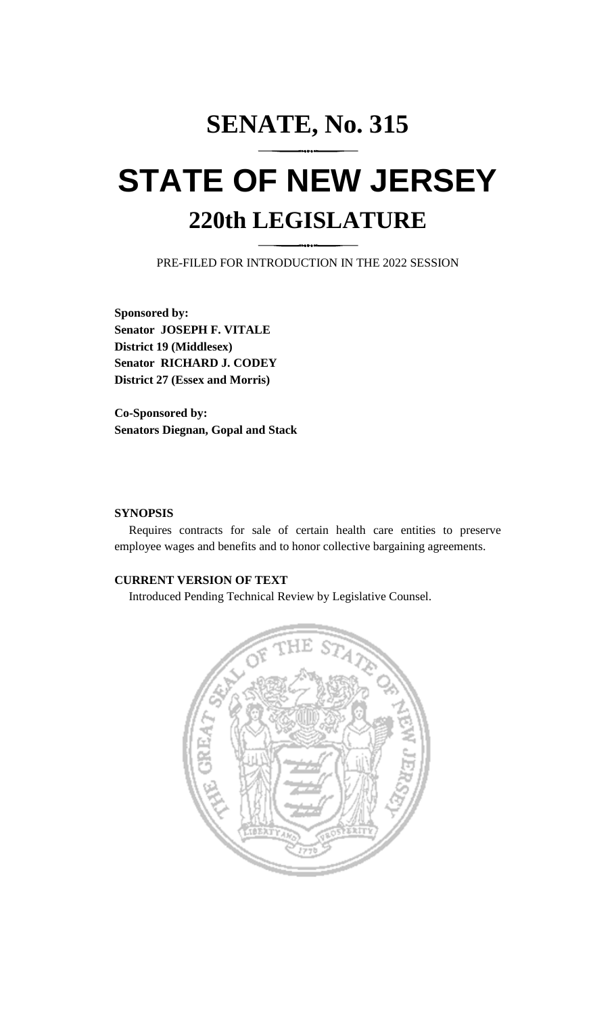## **SENATE, No. 315 STATE OF NEW JERSEY 220th LEGISLATURE**

PRE-FILED FOR INTRODUCTION IN THE 2022 SESSION

**Sponsored by: Senator JOSEPH F. VITALE District 19 (Middlesex) Senator RICHARD J. CODEY District 27 (Essex and Morris)**

**Co-Sponsored by: Senators Diegnan, Gopal and Stack**

## **SYNOPSIS**

Requires contracts for sale of certain health care entities to preserve employee wages and benefits and to honor collective bargaining agreements.

## **CURRENT VERSION OF TEXT**

Introduced Pending Technical Review by Legislative Counsel.

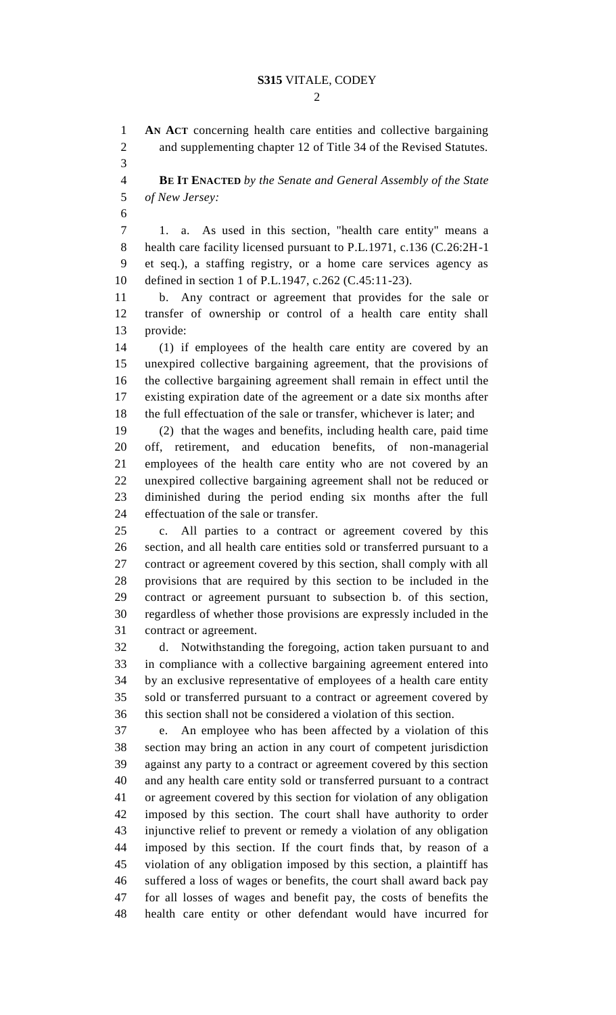$\mathcal{D}_{\mathcal{L}}$ 

 **AN ACT** concerning health care entities and collective bargaining and supplementing chapter 12 of Title 34 of the Revised Statutes.

 **BE IT ENACTED** *by the Senate and General Assembly of the State of New Jersey:*

 1. a. As used in this section, "health care entity" means a health care facility licensed pursuant to P.L.1971, c.136 (C.26:2H-1 et seq.), a staffing registry, or a home care services agency as defined in section 1 of P.L.1947, c.262 (C.45:11-23).

 b. Any contract or agreement that provides for the sale or transfer of ownership or control of a health care entity shall provide:

 (1) if employees of the health care entity are covered by an unexpired collective bargaining agreement, that the provisions of the collective bargaining agreement shall remain in effect until the existing expiration date of the agreement or a date six months after the full effectuation of the sale or transfer, whichever is later; and

 (2) that the wages and benefits, including health care, paid time off, retirement, and education benefits, of non-managerial employees of the health care entity who are not covered by an unexpired collective bargaining agreement shall not be reduced or diminished during the period ending six months after the full effectuation of the sale or transfer.

 c. All parties to a contract or agreement covered by this section, and all health care entities sold or transferred pursuant to a contract or agreement covered by this section, shall comply with all provisions that are required by this section to be included in the contract or agreement pursuant to subsection b. of this section, regardless of whether those provisions are expressly included in the contract or agreement.

 d. Notwithstanding the foregoing, action taken pursuant to and in compliance with a collective bargaining agreement entered into by an exclusive representative of employees of a health care entity sold or transferred pursuant to a contract or agreement covered by this section shall not be considered a violation of this section.

 e. An employee who has been affected by a violation of this section may bring an action in any court of competent jurisdiction against any party to a contract or agreement covered by this section and any health care entity sold or transferred pursuant to a contract or agreement covered by this section for violation of any obligation imposed by this section. The court shall have authority to order injunctive relief to prevent or remedy a violation of any obligation imposed by this section. If the court finds that, by reason of a violation of any obligation imposed by this section, a plaintiff has suffered a loss of wages or benefits, the court shall award back pay for all losses of wages and benefit pay, the costs of benefits the health care entity or other defendant would have incurred for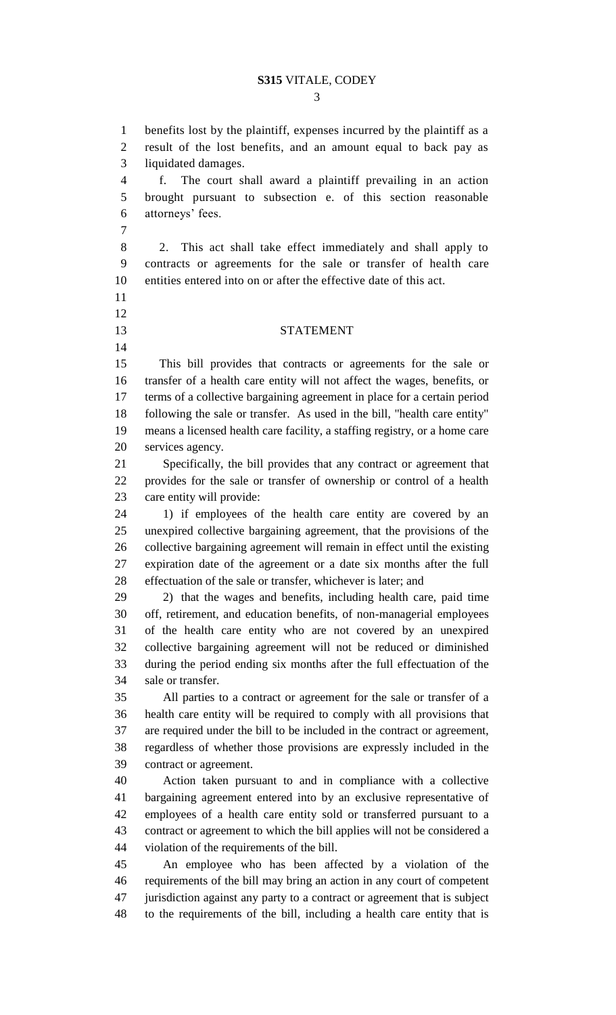benefits lost by the plaintiff, expenses incurred by the plaintiff as a result of the lost benefits, and an amount equal to back pay as liquidated damages. f. The court shall award a plaintiff prevailing in an action brought pursuant to subsection e. of this section reasonable attorneys' fees. 2. This act shall take effect immediately and shall apply to contracts or agreements for the sale or transfer of health care entities entered into on or after the effective date of this act. STATEMENT This bill provides that contracts or agreements for the sale or transfer of a health care entity will not affect the wages, benefits, or terms of a collective bargaining agreement in place for a certain period following the sale or transfer. As used in the bill, "health care entity" means a licensed health care facility, a staffing registry, or a home care services agency. Specifically, the bill provides that any contract or agreement that provides for the sale or transfer of ownership or control of a health care entity will provide: 1) if employees of the health care entity are covered by an unexpired collective bargaining agreement, that the provisions of the collective bargaining agreement will remain in effect until the existing expiration date of the agreement or a date six months after the full effectuation of the sale or transfer, whichever is later; and 2) that the wages and benefits, including health care, paid time off, retirement, and education benefits, of non-managerial employees of the health care entity who are not covered by an unexpired collective bargaining agreement will not be reduced or diminished during the period ending six months after the full effectuation of the sale or transfer. All parties to a contract or agreement for the sale or transfer of a health care entity will be required to comply with all provisions that are required under the bill to be included in the contract or agreement, regardless of whether those provisions are expressly included in the contract or agreement. Action taken pursuant to and in compliance with a collective bargaining agreement entered into by an exclusive representative of employees of a health care entity sold or transferred pursuant to a contract or agreement to which the bill applies will not be considered a violation of the requirements of the bill. An employee who has been affected by a violation of the requirements of the bill may bring an action in any court of competent jurisdiction against any party to a contract or agreement that is subject to the requirements of the bill, including a health care entity that is